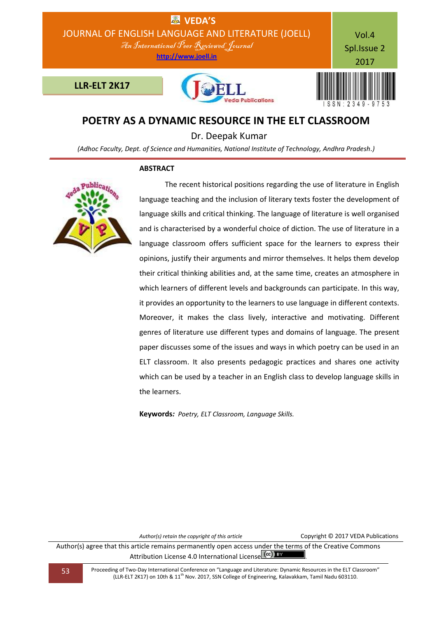

# **POETRY AS A DYNAMIC RESOURCE IN THE ELT CLASSROOM**

Dr. Deepak Kumar

*(Adhoc Faculty, Dept. of Science and Humanities, National Institute of Technology, Andhra Pradesh.)*

# **ABSTRACT**



 The recent historical positions regarding the use of literature in English language teaching and the inclusion of literary texts foster the development of language skills and critical thinking. The language of literature is well organised and is characterised by a wonderful choice of diction. The use of literature in a language classroom offers sufficient space for the learners to express their opinions, justify their arguments and mirror themselves. It helps them develop their critical thinking abilities and, at the same time, creates an atmosphere in which learners of different levels and backgrounds can participate. In this way, it provides an opportunity to the learners to use language in different contexts. Moreover, it makes the class lively, interactive and motivating. Different genres of literature use different types and domains of language. The present paper discusses some of the issues and ways in which poetry can be used in an ELT classroom. It also presents pedagogic practices and shares one activity which can be used by a teacher in an English class to develop language skills in the learners.

**Keywords***: Poetry, ELT Classroom, Language Skills.*

*Author(s) retain the copyright of this article* Copyright © 2017 VEDA Publications

Author(s) agree that this article remains permanently open access under the terms of the Creative Commons Attribution License 4.0 International License  $\left(\text{cc}\right)$  BY

53 Proceeding of Two-Day International Conference on "Language and Literature: Dynamic Resources in the ELT Classroom" (LLR-ELT 2K17) on 10th & 11th Nov. 2017, SSN College of Engineering, Kalavakkam, Tamil Nadu 603110.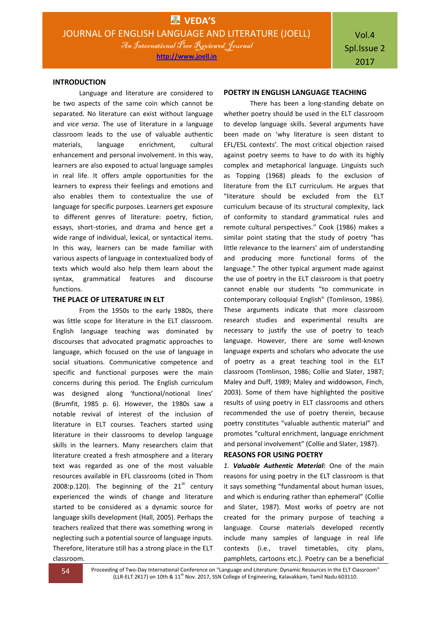#### **INTRODUCTION**

Language and literature are considered to be two aspects of the same coin which cannot be separated. No literature can exist without language and *vice versa*. The use of literature in a language classroom leads to the use of valuable authentic materials, language enrichment, cultural enhancement and personal involvement. In this way, learners are also exposed to actual language samples in real life. It offers ample opportunities for the learners to express their feelings and emotions and also enables them to contextualize the use of language for specific purposes. Learners get exposure to different genres of literature: poetry, fiction, essays, short-stories, and drama and hence get a wide range of individual, lexical, or syntactical items. In this way, learners can be made familiar with various aspects of language in contextualized body of texts which would also help them learn about the syntax, grammatical features and discourse functions.

#### **THE PLACE OF LITERATURE IN ELT**

From the 1950s to the early 1980s, there was little scope for literature in the ELT classroom. English language teaching was dominated by discourses that advocated pragmatic approaches to language, which focused on the use of language in social situations. Communicative competence and specific and functional purposes were the main concerns during this period. The English curriculum was designed along 'functional/notional lines' (Brumfit, 1985 p. 6). However, the 1980s saw a notable revival of interest of the inclusion of literature in ELT courses. Teachers started using literature in their classrooms to develop language skills in the learners. Many researchers claim that literature created a fresh atmosphere and a literary text was regarded as one of the most valuable resources available in EFL classrooms (cited in Thom 2008:p.120). The beginning of the  $21<sup>st</sup>$  century experienced the winds of change and literature started to be considered as a dynamic source for language skills development (Hall, 2005). Perhaps the teachers realized that there was something wrong in neglecting such a potential source of language inputs. Therefore, literature still has a strong place in the ELT classroom.

### **POETRY IN ENGLISH LANGUAGE TEACHING**

There has been a long-standing debate on whether poetry should be used in the ELT classroom to develop language skills. Several arguments have been made on 'why literature is seen distant to EFL/ESL contexts'. The most critical objection raised against poetry seems to have to do with its highly complex and metaphorical language. Linguists such as Topping (1968) pleads fo the exclusion of literature from the ELT curriculum. He argues that "literature should be excluded from the ELT curriculum because of its structural complexity, lack of conformity to standard grammatical rules and remote cultural perspectives." Cook (1986) makes a similar point stating that the study of poetry "has little relevance to the learners' aim of understanding and producing more functional forms of the language." The other typical argument made against the use of poetry in the ELT classroom is that poetry cannot enable our students "to communicate in contemporary colloquial English" (Tomlinson, 1986). These arguments indicate that more classroom research studies and experimental results are necessary to justify the use of poetry to teach language. However, there are some well-known language experts and scholars who advocate the use of poetry as a great teaching tool in the ELT classroom (Tomlinson, 1986; Collie and Slater, 1987; Maley and Duff, 1989; Maley and widdowson, Finch, 2003). Some of them have highlighted the positive results of using poetry in ELT classrooms and others recommended the use of poetry therein, because poetry constitutes "valuable authentic material" and promotes "cultural enrichment, language enrichment and personal involvement" (Collie and Slater, 1987).

# **REASONS FOR USING POETRY**

*1. Valuable Authentic Material:* One of the main reasons for using poetry in the ELT classroom is that it says something "fundamental about human issues, and which is enduring rather than ephemeral" (Collie and Slater, 1987). Most works of poetry are not created for the primary purpose of teaching a language. Course materials developed recently include many samples of language in real life contexts (i.e., travel timetables, city plans, pamphlets, cartoons etc.). Poetry can be a beneficial

**54** Proceeding of Two-Day International Conference on "Language and Literature: Dynamic Resources in the ELT Classroom" (LLR-ELT 2K17) on 10th & 11<sup>th</sup> Nov. 2017, SSN College of Engineering, Kalavakkam, Tamil Nadu 603110.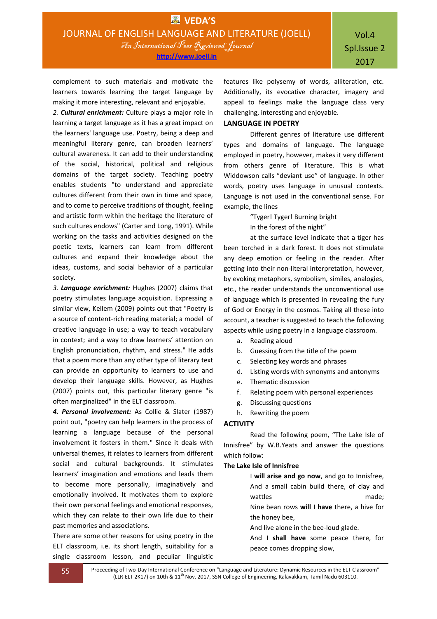**http://www.joell.in**

complement to such materials and motivate the learners towards learning the target language by making it more interesting, relevant and enjoyable.

*2. Cultural enrichment:* Culture plays a major role in learning a target language as it has a great impact on the learners' language use. Poetry, being a deep and meaningful literary genre, can broaden learners' cultural awareness. It can add to their understanding of the social, historical, political and religious domains of the target society. Teaching poetry enables students "to understand and appreciate cultures different from their own in time and space, and to come to perceive traditions of thought, feeling and artistic form within the heritage the literature of such cultures endows" (Carter and Long, 1991). While working on the tasks and activities designed on the poetic texts, learners can learn from different cultures and expand their knowledge about the ideas, customs, and social behavior of a particular society.

*3. Language enrichment:* Hughes (2007) claims that poetry stimulates language acquisition. Expressing a similar view, Kellem (2009) points out that "Poetry is a source of content-rich reading material; a model of creative language in use; a way to teach vocabulary in context; and a way to draw learners' attention on English pronunciation, rhythm, and stress." He adds that a poem more than any other type of literary text can provide an opportunity to learners to use and develop their language skills. However, as Hughes (2007) points out, this particular literary genre "is often marginalized" in the ELT classroom.

*4. Personal involvement:* As Collie & Slater (1987) point out, "poetry can help learners in the process of learning a language because of the personal involvement it fosters in them." Since it deals with universal themes, it relates to learners from different social and cultural backgrounds. It stimulates learners' imagination and emotions and leads them to become more personally, imaginatively and emotionally involved. It motivates them to explore their own personal feelings and emotional responses, which they can relate to their own life due to their past memories and associations.

There are some other reasons for using poetry in the ELT classroom, i.e. its short length, suitability for a single classroom lesson, and peculiar linguistic features like polysemy of words, alliteration, etc. Additionally, its evocative character, imagery and appeal to feelings make the language class very challenging, interesting and enjoyable.

### **LANGUAGE IN POETRY**

Different genres of literature use different types and domains of language. The language employed in poetry, however, makes it very different from others genre of literature. This is what Widdowson calls "deviant use" of language. In other words, poetry uses language in unusual contexts. Language is not used in the conventional sense. For example, the lines

> "Tyger! Tyger! Burning bright In the forest of the night"

at the surface level indicate that a tiger has been torched in a dark forest. It does not stimulate any deep emotion or feeling in the reader. After getting into their non-literal interpretation, however, by evoking metaphors, symbolism, similes, analogies, etc., the reader understands the unconventional use of language which is presented in revealing the fury of God or Energy in the cosmos. Taking all these into account, a teacher is suggested to teach the following aspects while using poetry in a language classroom.

- a. Reading aloud
- b. Guessing from the title of the poem
- c. Selecting key words and phrases
- d. Listing words with synonyms and antonyms
- e. Thematic discussion
- f. Relating poem with personal experiences
- g. Discussing questions
- h. Rewriting the poem

# **ACTIVITY**

Read the following poem, "The Lake Isle of Innisfree" by W.B.Yeats and answer the questions which follow:

### **The Lake Isle of Innisfree**

I **will arise and go now**, and go to Innisfree, And a small cabin build there, of clay and wattles made: Nine bean rows **will I have** there, a hive for

the honey bee,

And live alone in the bee-loud glade.

And **I shall have** some peace there, for peace comes dropping slow,

55 Proceeding of Two-Day International Conference on "Language and Literature: Dynamic Resources in the ELT Classroom" (LLR-ELT 2K17) on 10th & 11<sup>th</sup> Nov. 2017, SSN College of Engineering, Kalavakkam, Tamil Nadu 603110.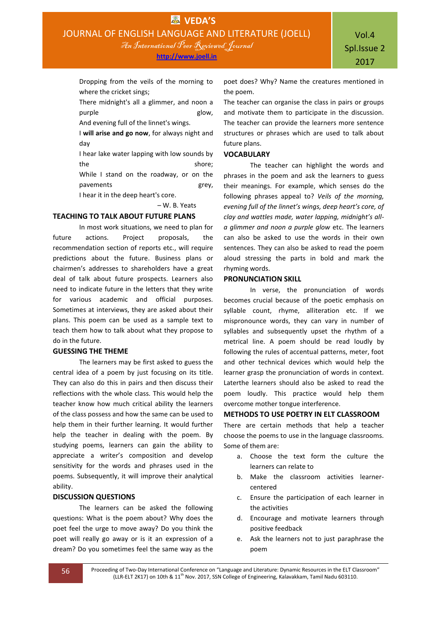**http://www.joell.in**

Dropping from the veils of the morning to where the cricket sings;

There midnight's all a glimmer, and noon a purple glow,

And evening full of the linnet's wings.

I **will arise and go now**, for always night and day

I hear lake water lapping with low sounds by the shore;

While I stand on the roadway, or on the pavements grey, I hear it in the deep heart's core.

– W. B. Yeats

# **TEACHING TO TALK ABOUT FUTURE PLANS**

In most work situations, we need to plan for future actions. Project proposals, the recommendation section of reports etc., will require predictions about the future. Business plans or chairmen's addresses to shareholders have a great deal of talk about future prospects. Learners also need to indicate future in the letters that they write for various academic and official purposes. Sometimes at interviews, they are asked about their plans. This poem can be used as a sample text to teach them how to talk about what they propose to do in the future.

# **GUESSING THE THEME**

The learners may be first asked to guess the central idea of a poem by just focusing on its title. They can also do this in pairs and then discuss their reflections with the whole class. This would help the teacher know how much critical ability the learners of the class possess and how the same can be used to help them in their further learning. It would further help the teacher in dealing with the poem. By studying poems, learners can gain the ability to appreciate a writer's composition and develop sensitivity for the words and phrases used in the poems. Subsequently, it will improve their analytical ability.

### **DISCUSSION QUESTIONS**

The learners can be asked the following questions: What is the poem about? Why does the poet feel the urge to move away? Do you think the poet will really go away or is it an expression of a dream? Do you sometimes feel the same way as the

poet does? Why? Name the creatures mentioned in the poem.

The teacher can organise the class in pairs or groups and motivate them to participate in the discussion. The teacher can provide the learners more sentence structures or phrases which are used to talk about future plans.

#### **VOCABULARY**

The teacher can highlight the words and phrases in the poem and ask the learners to guess their meanings. For example, which senses do the following phrases appeal to? *Veils of the morning, evening full of the linnet's wings, deep heart's core, of clay and wattles made, water lapping, midnight's alla glimmer and noon a purple glow* etc. The learners can also be asked to use the words in their own sentences. They can also be asked to read the poem aloud stressing the parts in bold and mark the rhyming words.

### **PRONUNCIATION SKILL**

In verse, the pronunciation of words becomes crucial because of the poetic emphasis on syllable count, rhyme, alliteration etc. If we mispronounce words, they can vary in number of syllables and subsequently upset the rhythm of a metrical line. A poem should be read loudly by following the rules of accentual patterns, meter, foot and other technical devices which would help the learner grasp the pronunciation of words in context. Laterthe learners should also be asked to read the poem loudly. This practice would help them overcome mother tongue interference.

# **METHODS TO USE POETRY IN ELT CLASSROOM**

There are certain methods that help a teacher choose the poems to use in the language classrooms. Some of them are:

- a. Choose the text form the culture the learners can relate to
- b. Make the classroom activities learnercentered
- c. Ensure the participation of each learner in the activities
- d. Encourage and motivate learners through positive feedback
- e. Ask the learners not to just paraphrase the poem